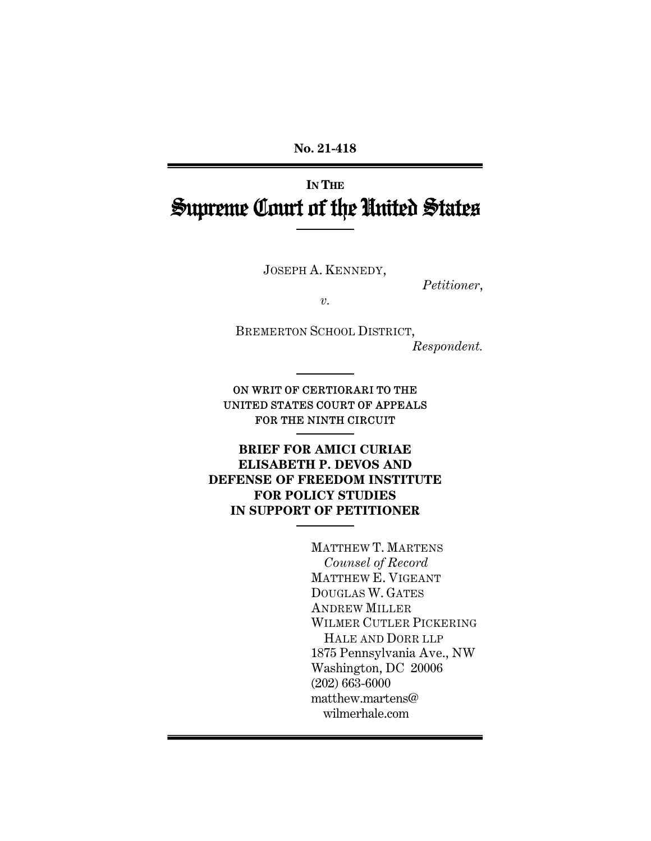**No. 21-418** 

# **IN THE** Supreme Court of the United States

JOSEPH A. KENNEDY,

*Petitioner*,

*v.* 

BREMERTON SCHOOL DISTRICT, *Respondent.* 

ON WRIT OF CERTIORARI TO THE UNITED STATES COURT OF APPEALS FOR THE NINTH CIRCUIT

**BRIEF FOR AMICI CURIAE ELISABETH P. DEVOS AND DEFENSE OF FREEDOM INSTITUTE FOR POLICY STUDIES IN SUPPORT OF PETITIONER** 

> MATTHEW T. MARTENS *Counsel of Record* MATTHEW E. VIGEANT DOUGLAS W. GATES ANDREW MILLER WILMER CUTLER PICKERING HALE AND DORR LLP 1875 Pennsylvania Ave., NW Washington, DC 20006 (202) 663-6000 matthew.martens@ wilmerhale.com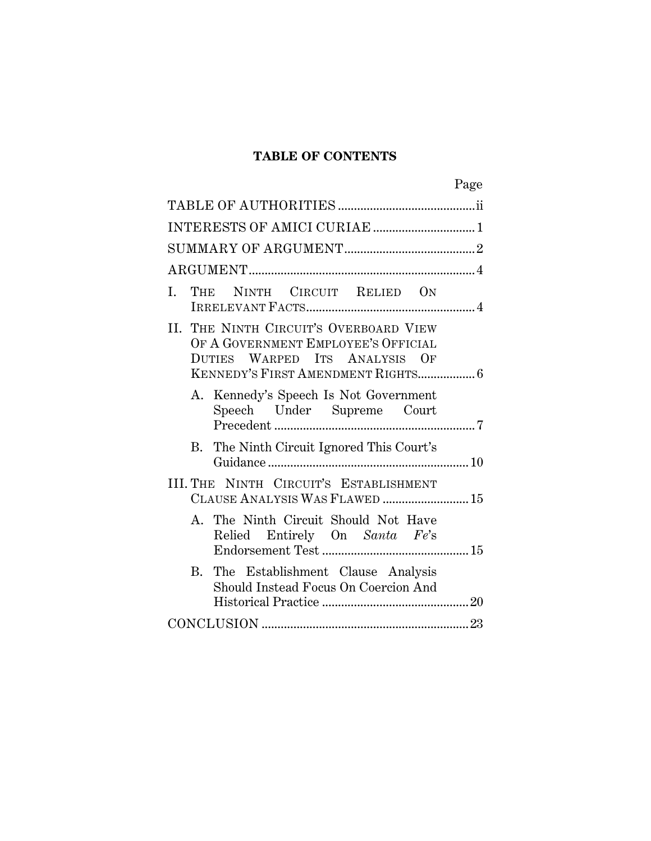## **TABLE OF CONTENTS**

| Page                                                                                                                                                 |
|------------------------------------------------------------------------------------------------------------------------------------------------------|
|                                                                                                                                                      |
|                                                                                                                                                      |
|                                                                                                                                                      |
|                                                                                                                                                      |
| THE NINTH CIRCUIT RELIED ON<br>I.                                                                                                                    |
| II. THE NINTH CIRCUIT'S OVERBOARD VIEW<br>OF A GOVERNMENT EMPLOYEE'S OFFICIAL<br>DUTIES WARPED ITS ANALYSIS OF<br>KENNEDY'S FIRST AMENDMENT RIGHTS 6 |
| A. Kennedy's Speech Is Not Government<br>Speech Under Supreme Court                                                                                  |
| B. The Ninth Circuit Ignored This Court's                                                                                                            |
| III. THE NINTH CIRCUIT'S ESTABLISHMENT<br>CLAUSE ANALYSIS WAS FLAWED  15                                                                             |
| A. The Ninth Circuit Should Not Have<br>Relied Entirely On Santa Fe's                                                                                |
| The Establishment Clause Analysis<br>B.<br>Should Instead Focus On Coercion And                                                                      |
|                                                                                                                                                      |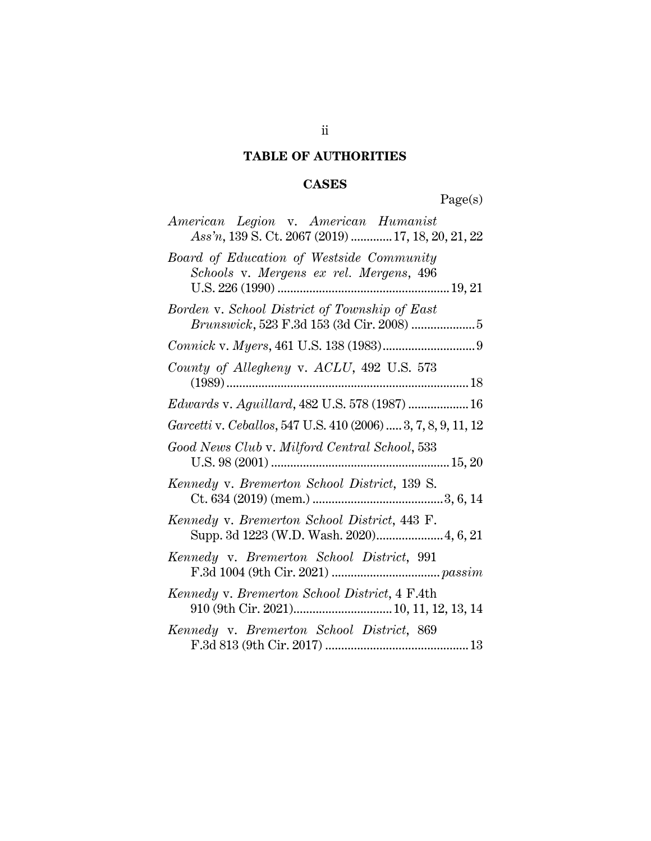# **TABLE OF AUTHORITIES**

# **CASES**

Page(s)

| American Legion v. American Humanist<br>Ass'n, 139 S. Ct. 2067 (2019)  17, 18, 20, 21, 22 |
|-------------------------------------------------------------------------------------------|
| Board of Education of Westside Community<br>Schools v. Mergens ex rel. Mergens, 496       |
| Borden v. School District of Township of East                                             |
|                                                                                           |
| County of Allegheny v. ACLU, 492 U.S. 573                                                 |
| Edwards v. Aguillard, 482 U.S. 578 (1987)  16                                             |
| Garcetti v. Ceballos, 547 U.S. 410 (2006)  3, 7, 8, 9, 11, 12                             |
| Good News Club v. Milford Central School, 533                                             |
| Kennedy v. Bremerton School District, 139 S.                                              |
| Kennedy v. Bremerton School District, 443 F.<br>Supp. 3d 1223 (W.D. Wash. 2020) 4, 6, 21  |
| Kennedy v. Bremerton School District, 991                                                 |
| Kennedy v. Bremerton School District, 4 F.4th<br>910 (9th Cir. 2021) 10, 11, 12, 13, 14   |
| Kennedy v. Bremerton School District, 869                                                 |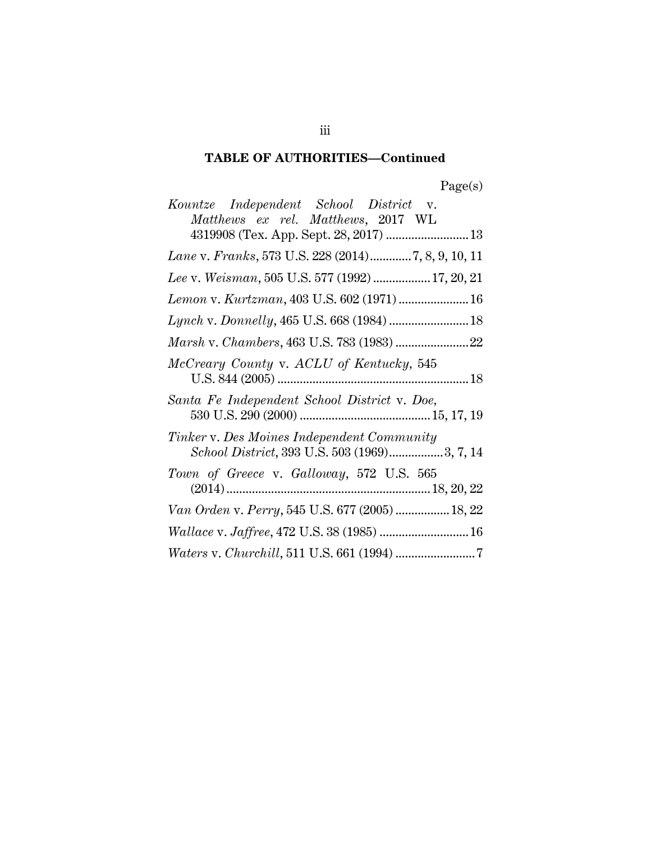# **TABLE OF AUTHORITIES—Continued**

| Kountze Independent School District v.<br>Matthews ex rel. Matthews, 2017 WL               |
|--------------------------------------------------------------------------------------------|
| 4319908 (Tex. App. Sept. 28, 2017)  13                                                     |
| Lane v. Franks, 573 U.S. 228 (2014)7, 8, 9, 10, 11                                         |
| Lee v. Weisman, 505 U.S. 577 (1992) 17, 20, 21                                             |
| Lemon v. Kurtzman, 403 U.S. 602 (1971)  16                                                 |
| Lynch v. Donnelly, 465 U.S. 668 (1984)  18                                                 |
|                                                                                            |
| McCreary County v. ACLU of Kentucky, 545                                                   |
| Santa Fe Independent School District v. Doe,                                               |
| Tinker v. Des Moines Independent Community<br>School District, 393 U.S. 503 (1969)3, 7, 14 |
| Town of Greece v. Galloway, 572 U.S. 565                                                   |
| Van Orden v. Perry, 545 U.S. 677 (2005)  18, 22                                            |
| Wallace v. Jaffree, 472 U.S. 38 (1985)  16                                                 |
|                                                                                            |

iii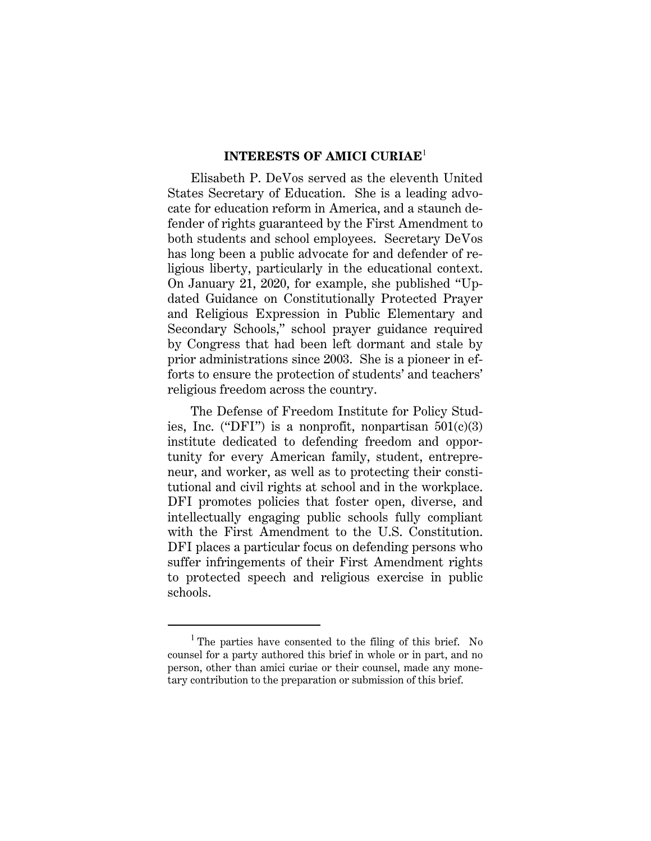### **INTERESTS OF AMICI CURIAE**<sup>1</sup>

Elisabeth P. DeVos served as the eleventh United States Secretary of Education. She is a leading advocate for education reform in America, and a staunch defender of rights guaranteed by the First Amendment to both students and school employees. Secretary DeVos has long been a public advocate for and defender of religious liberty, particularly in the educational context. On January 21, 2020, for example, she published "Updated Guidance on Constitutionally Protected Prayer and Religious Expression in Public Elementary and Secondary Schools," school prayer guidance required by Congress that had been left dormant and stale by prior administrations since 2003. She is a pioneer in efforts to ensure the protection of students' and teachers' religious freedom across the country.

The Defense of Freedom Institute for Policy Studies, Inc. ("DFI") is a nonprofit, nonpartisan  $501(c)(3)$ institute dedicated to defending freedom and opportunity for every American family, student, entrepreneur, and worker, as well as to protecting their constitutional and civil rights at school and in the workplace. DFI promotes policies that foster open, diverse, and intellectually engaging public schools fully compliant with the First Amendment to the U.S. Constitution. DFI places a particular focus on defending persons who suffer infringements of their First Amendment rights to protected speech and religious exercise in public schools.

<sup>&</sup>lt;sup>1</sup> The parties have consented to the filing of this brief. No counsel for a party authored this brief in whole or in part, and no person, other than amici curiae or their counsel, made any monetary contribution to the preparation or submission of this brief.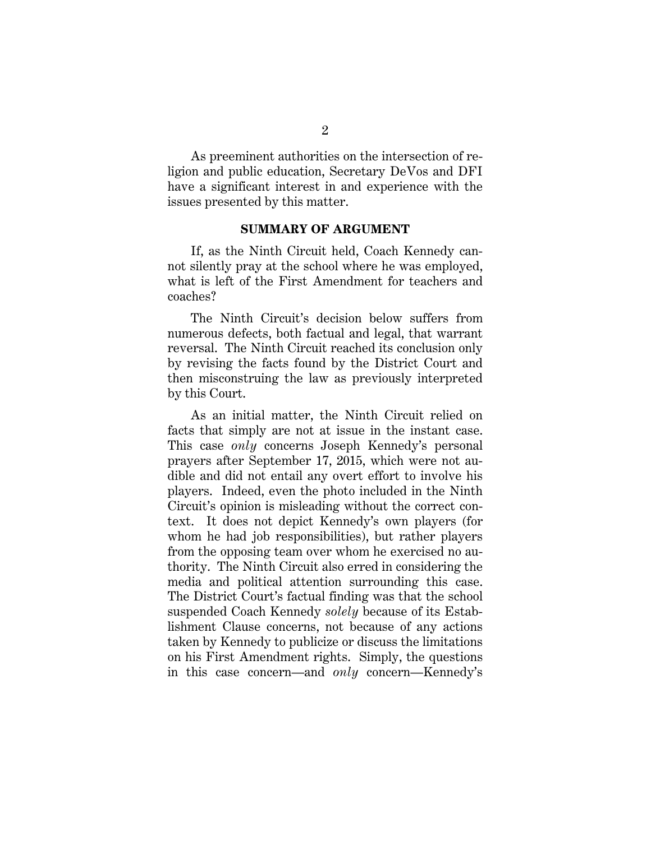As preeminent authorities on the intersection of religion and public education, Secretary DeVos and DFI have a significant interest in and experience with the issues presented by this matter.

#### **SUMMARY OF ARGUMENT**

If, as the Ninth Circuit held, Coach Kennedy cannot silently pray at the school where he was employed, what is left of the First Amendment for teachers and coaches?

The Ninth Circuit's decision below suffers from numerous defects, both factual and legal, that warrant reversal. The Ninth Circuit reached its conclusion only by revising the facts found by the District Court and then misconstruing the law as previously interpreted by this Court.

As an initial matter, the Ninth Circuit relied on facts that simply are not at issue in the instant case. This case *only* concerns Joseph Kennedy's personal prayers after September 17, 2015, which were not audible and did not entail any overt effort to involve his players. Indeed, even the photo included in the Ninth Circuit's opinion is misleading without the correct context. It does not depict Kennedy's own players (for whom he had job responsibilities), but rather players from the opposing team over whom he exercised no authority. The Ninth Circuit also erred in considering the media and political attention surrounding this case. The District Court's factual finding was that the school suspended Coach Kennedy *solely* because of its Establishment Clause concerns, not because of any actions taken by Kennedy to publicize or discuss the limitations on his First Amendment rights. Simply, the questions in this case concern—and *only* concern—Kennedy's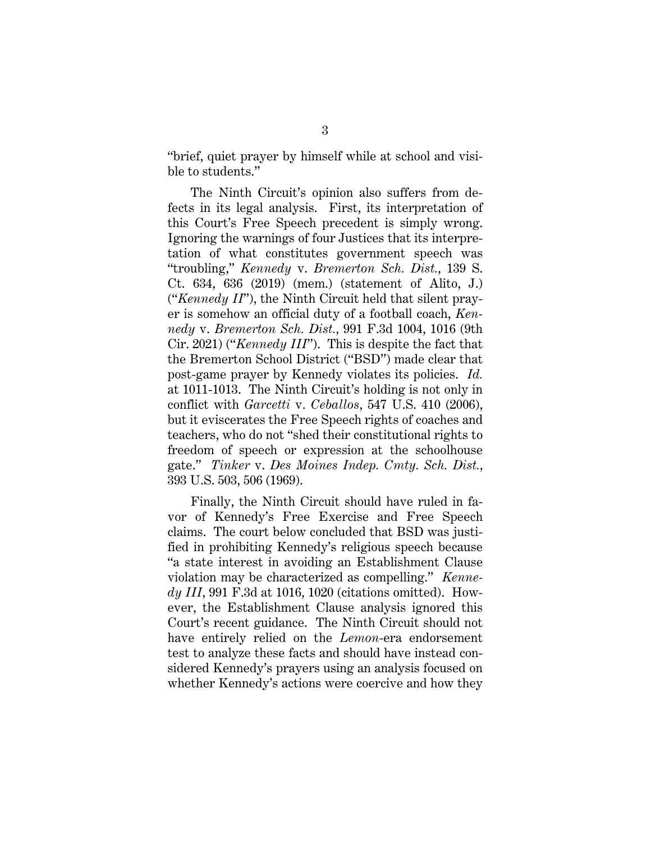"brief, quiet prayer by himself while at school and visible to students."

The Ninth Circuit's opinion also suffers from defects in its legal analysis. First, its interpretation of this Court's Free Speech precedent is simply wrong. Ignoring the warnings of four Justices that its interpretation of what constitutes government speech was "troubling," *Kennedy* v. *Bremerton Sch. Dist.*, 139 S. Ct. 634, 636 (2019) (mem.) (statement of Alito, J.) ("*Kennedy II*"), the Ninth Circuit held that silent prayer is somehow an official duty of a football coach, *Kennedy* v. *Bremerton Sch. Dist.*, 991 F.3d 1004, 1016 (9th Cir. 2021) ("*Kennedy III*"). This is despite the fact that the Bremerton School District ("BSD") made clear that post-game prayer by Kennedy violates its policies. *Id.* at 1011-1013. The Ninth Circuit's holding is not only in conflict with *Garcetti* v. *Ceballos*, 547 U.S. 410 (2006), but it eviscerates the Free Speech rights of coaches and teachers, who do not "shed their constitutional rights to freedom of speech or expression at the schoolhouse gate." *Tinker* v. *Des Moines Indep. Cmty. Sch. Dist.*, 393 U.S. 503, 506 (1969).

Finally, the Ninth Circuit should have ruled in favor of Kennedy's Free Exercise and Free Speech claims. The court below concluded that BSD was justified in prohibiting Kennedy's religious speech because "a state interest in avoiding an Establishment Clause violation may be characterized as compelling." *Kennedy III*, 991 F.3d at 1016, 1020 (citations omitted). However, the Establishment Clause analysis ignored this Court's recent guidance. The Ninth Circuit should not have entirely relied on the *Lemon*-era endorsement test to analyze these facts and should have instead considered Kennedy's prayers using an analysis focused on whether Kennedy's actions were coercive and how they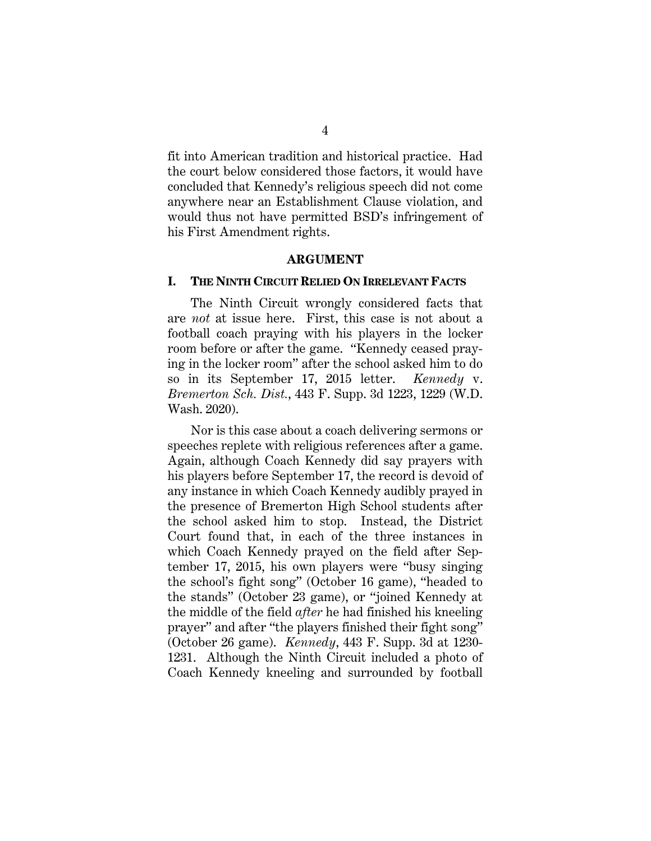fit into American tradition and historical practice. Had the court below considered those factors, it would have concluded that Kennedy's religious speech did not come anywhere near an Establishment Clause violation, and would thus not have permitted BSD's infringement of his First Amendment rights.

#### **ARGUMENT**

#### **I. THE NINTH CIRCUIT RELIED ON IRRELEVANT FACTS**

The Ninth Circuit wrongly considered facts that are *not* at issue here. First, this case is not about a football coach praying with his players in the locker room before or after the game. "Kennedy ceased praying in the locker room" after the school asked him to do so in its September 17, 2015 letter. *Kennedy* v. *Bremerton Sch. Dist.*, 443 F. Supp. 3d 1223, 1229 (W.D. Wash. 2020).

Nor is this case about a coach delivering sermons or speeches replete with religious references after a game. Again, although Coach Kennedy did say prayers with his players before September 17, the record is devoid of any instance in which Coach Kennedy audibly prayed in the presence of Bremerton High School students after the school asked him to stop. Instead, the District Court found that, in each of the three instances in which Coach Kennedy prayed on the field after September 17, 2015, his own players were "busy singing the school's fight song" (October 16 game), "headed to the stands" (October 23 game), or "joined Kennedy at the middle of the field *after* he had finished his kneeling prayer" and after "the players finished their fight song" (October 26 game). *Kennedy*, 443 F. Supp. 3d at 1230- 1231. Although the Ninth Circuit included a photo of Coach Kennedy kneeling and surrounded by football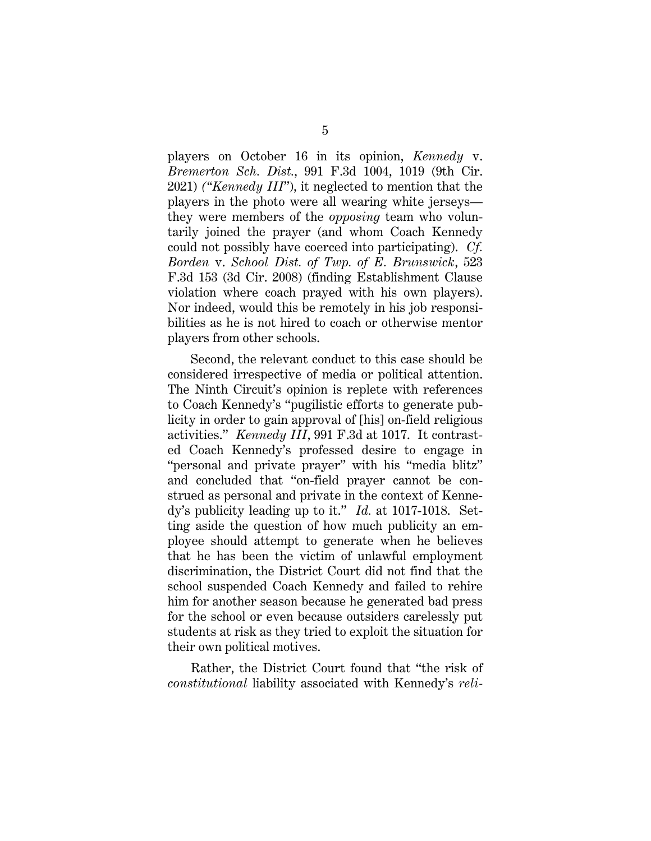players on October 16 in its opinion, *Kennedy* v. *Bremerton Sch. Dist.*, 991 F.3d 1004, 1019 (9th Cir. 2021) *("Kennedy III*")*,* it neglected to mention that the players in the photo were all wearing white jerseys they were members of the *opposing* team who voluntarily joined the prayer (and whom Coach Kennedy could not possibly have coerced into participating). *Cf. Borden* v. *School Dist. of Twp. of E. Brunswick*, 523 F.3d 153 (3d Cir. 2008) (finding Establishment Clause violation where coach prayed with his own players). Nor indeed, would this be remotely in his job responsibilities as he is not hired to coach or otherwise mentor players from other schools.

Second, the relevant conduct to this case should be considered irrespective of media or political attention. The Ninth Circuit's opinion is replete with references to Coach Kennedy's "pugilistic efforts to generate publicity in order to gain approval of [his] on-field religious activities." *Kennedy III*, 991 F.3d at 1017. It contrasted Coach Kennedy's professed desire to engage in "personal and private prayer" with his "media blitz" and concluded that "on-field prayer cannot be construed as personal and private in the context of Kennedy's publicity leading up to it." *Id.* at 1017-1018. Setting aside the question of how much publicity an employee should attempt to generate when he believes that he has been the victim of unlawful employment discrimination, the District Court did not find that the school suspended Coach Kennedy and failed to rehire him for another season because he generated bad press for the school or even because outsiders carelessly put students at risk as they tried to exploit the situation for their own political motives.

Rather, the District Court found that "the risk of *constitutional* liability associated with Kennedy's *reli-*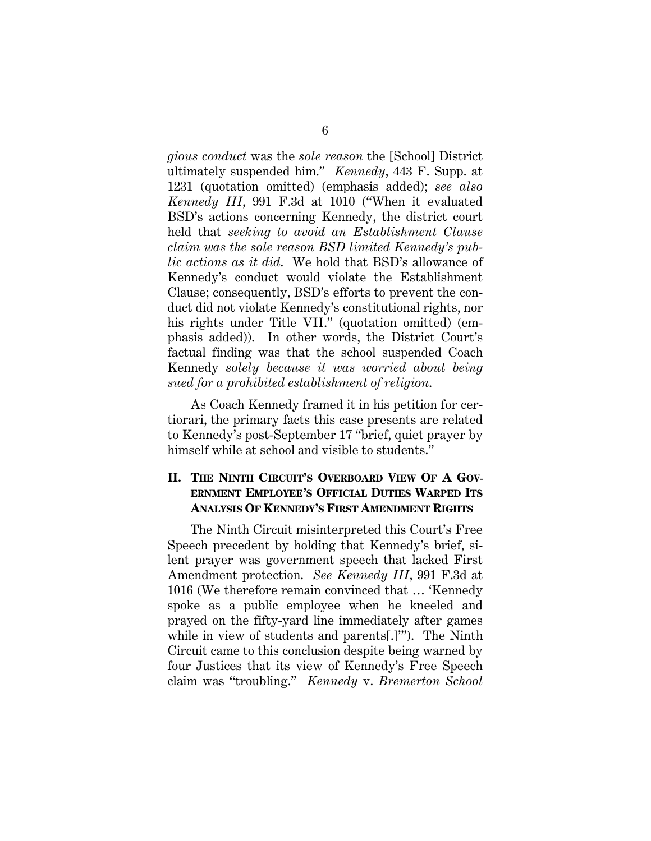*gious conduct* was the *sole reason* the [School] District ultimately suspended him." *Kennedy*, 443 F. Supp. at 1231 (quotation omitted) (emphasis added); *see also Kennedy III*, 991 F.3d at 1010 ("When it evaluated BSD's actions concerning Kennedy, the district court held that *seeking to avoid an Establishment Clause claim was the sole reason BSD limited Kennedy's public actions as it did*. We hold that BSD's allowance of Kennedy's conduct would violate the Establishment Clause; consequently, BSD's efforts to prevent the conduct did not violate Kennedy's constitutional rights, nor his rights under Title VII." (quotation omitted) (emphasis added)). In other words, the District Court's factual finding was that the school suspended Coach Kennedy *solely because it was worried about being sued for a prohibited establishment of religion*.

As Coach Kennedy framed it in his petition for certiorari, the primary facts this case presents are related to Kennedy's post-September 17 "brief, quiet prayer by himself while at school and visible to students."

## **II. THE NINTH CIRCUIT'S OVERBOARD VIEW OF A GOV-ERNMENT EMPLOYEE'S OFFICIAL DUTIES WARPED ITS ANALYSIS OF KENNEDY'S FIRST AMENDMENT RIGHTS**

The Ninth Circuit misinterpreted this Court's Free Speech precedent by holding that Kennedy's brief, silent prayer was government speech that lacked First Amendment protection. *See Kennedy III*, 991 F.3d at 1016 (We therefore remain convinced that … 'Kennedy spoke as a public employee when he kneeled and prayed on the fifty-yard line immediately after games while in view of students and parents[.]'"). The Ninth Circuit came to this conclusion despite being warned by four Justices that its view of Kennedy's Free Speech claim was "troubling." *Kennedy* v. *Bremerton School*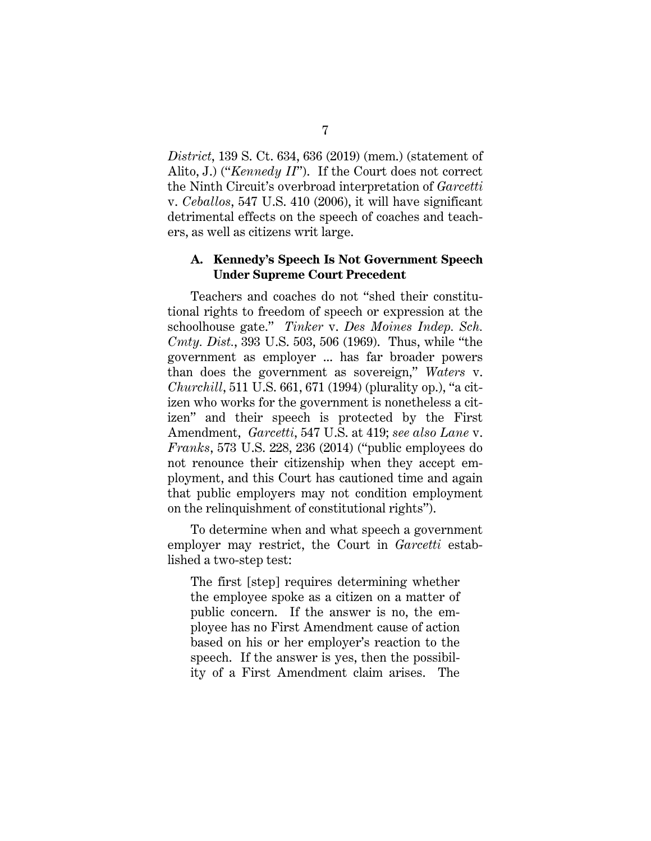*District*, 139 S. Ct. 634, 636 (2019) (mem.) (statement of Alito, J.) ("*Kennedy II*"). If the Court does not correct the Ninth Circuit's overbroad interpretation of *Garcetti* v. *Ceballos*, 547 U.S. 410 (2006), it will have significant detrimental effects on the speech of coaches and teachers, as well as citizens writ large.

### **A. Kennedy's Speech Is Not Government Speech Under Supreme Court Precedent**

Teachers and coaches do not "shed their constitutional rights to freedom of speech or expression at the schoolhouse gate." *Tinker* v. *Des Moines Indep. Sch. Cmty. Dist.*, 393 U.S. 503, 506 (1969). Thus, while "the government as employer ... has far broader powers than does the government as sovereign," *Waters* v. *Churchill*, 511 U.S. 661, 671 (1994) (plurality op.), "a citizen who works for the government is nonetheless a citizen" and their speech is protected by the First Amendment, *Garcetti*, 547 U.S. at 419; *see also Lane* v. *Franks*, 573 U.S. 228, 236 (2014) ("public employees do not renounce their citizenship when they accept employment, and this Court has cautioned time and again that public employers may not condition employment on the relinquishment of constitutional rights").

To determine when and what speech a government employer may restrict, the Court in *Garcetti* established a two-step test:

The first [step] requires determining whether the employee spoke as a citizen on a matter of public concern. If the answer is no, the employee has no First Amendment cause of action based on his or her employer's reaction to the speech. If the answer is yes, then the possibility of a First Amendment claim arises. The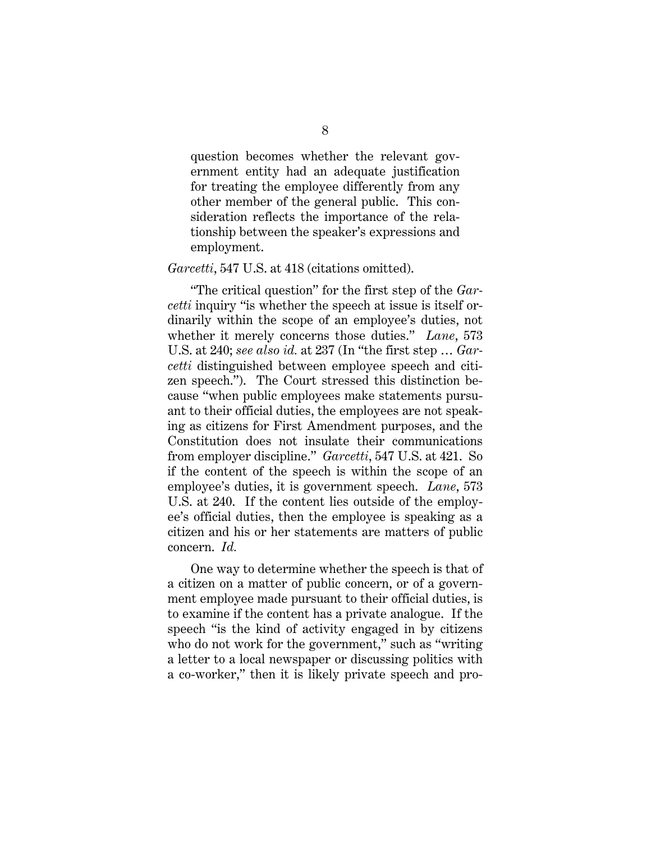question becomes whether the relevant government entity had an adequate justification for treating the employee differently from any other member of the general public. This consideration reflects the importance of the relationship between the speaker's expressions and employment.

#### *Garcetti*, 547 U.S. at 418 (citations omitted).

"The critical question" for the first step of the *Garcetti* inquiry "is whether the speech at issue is itself ordinarily within the scope of an employee's duties, not whether it merely concerns those duties." *Lane*, 573 U.S. at 240; *see also id.* at 237 (In "the first step … *Garcetti* distinguished between employee speech and citizen speech."). The Court stressed this distinction because "when public employees make statements pursuant to their official duties, the employees are not speaking as citizens for First Amendment purposes, and the Constitution does not insulate their communications from employer discipline." *Garcetti*, 547 U.S. at 421. So if the content of the speech is within the scope of an employee's duties, it is government speech. *Lane*, 573 U.S. at 240. If the content lies outside of the employee's official duties, then the employee is speaking as a citizen and his or her statements are matters of public concern. *Id.*

One way to determine whether the speech is that of a citizen on a matter of public concern, or of a government employee made pursuant to their official duties, is to examine if the content has a private analogue. If the speech "is the kind of activity engaged in by citizens who do not work for the government," such as "writing a letter to a local newspaper or discussing politics with a co-worker," then it is likely private speech and pro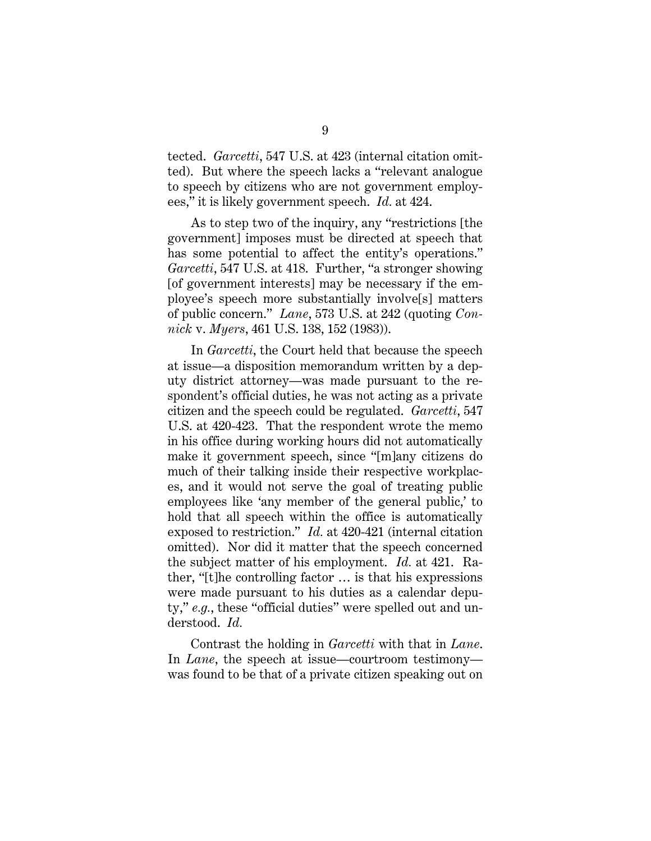tected. *Garcetti*, 547 U.S. at 423 (internal citation omitted). But where the speech lacks a "relevant analogue to speech by citizens who are not government employees," it is likely government speech. *Id.* at 424.

As to step two of the inquiry, any "restrictions [the government] imposes must be directed at speech that has some potential to affect the entity's operations." *Garcetti*, 547 U.S. at 418. Further, "a stronger showing [of government interests] may be necessary if the employee's speech more substantially involve[s] matters of public concern." *Lane*, 573 U.S. at 242 (quoting *Connick* v. *Myers*, 461 U.S. 138, 152 (1983)).

In *Garcetti*, the Court held that because the speech at issue—a disposition memorandum written by a deputy district attorney—was made pursuant to the respondent's official duties, he was not acting as a private citizen and the speech could be regulated. *Garcetti*, 547 U.S. at 420-423. That the respondent wrote the memo in his office during working hours did not automatically make it government speech, since "[m]any citizens do much of their talking inside their respective workplaces, and it would not serve the goal of treating public employees like 'any member of the general public,' to hold that all speech within the office is automatically exposed to restriction." *Id.* at 420-421 (internal citation omitted). Nor did it matter that the speech concerned the subject matter of his employment. *Id.* at 421. Rather, "[t]he controlling factor … is that his expressions were made pursuant to his duties as a calendar deputy," *e.g.*, these "official duties" were spelled out and understood. *Id.*

Contrast the holding in *Garcetti* with that in *Lane*. In *Lane*, the speech at issue—courtroom testimony was found to be that of a private citizen speaking out on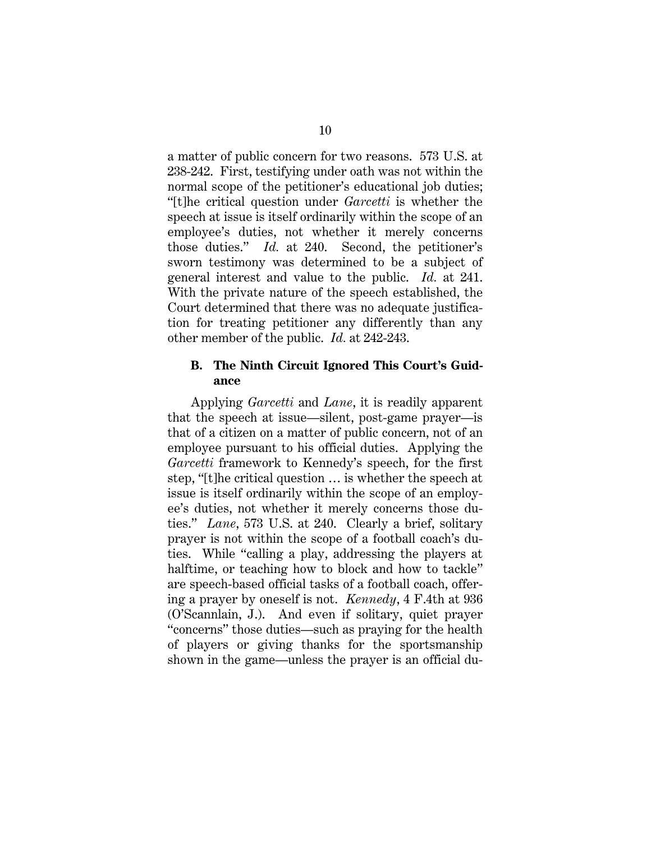a matter of public concern for two reasons. 573 U.S. at 238-242. First, testifying under oath was not within the normal scope of the petitioner's educational job duties; "[t]he critical question under *Garcetti* is whether the speech at issue is itself ordinarily within the scope of an employee's duties, not whether it merely concerns those duties." *Id.* at 240. Second, the petitioner's sworn testimony was determined to be a subject of general interest and value to the public. *Id.* at 241. With the private nature of the speech established, the Court determined that there was no adequate justification for treating petitioner any differently than any other member of the public. *Id.* at 242-243.

## **B. The Ninth Circuit Ignored This Court's Guidance**

Applying *Garcetti* and *Lane*, it is readily apparent that the speech at issue—silent, post-game prayer—is that of a citizen on a matter of public concern, not of an employee pursuant to his official duties. Applying the *Garcetti* framework to Kennedy's speech, for the first step, "[t]he critical question … is whether the speech at issue is itself ordinarily within the scope of an employee's duties, not whether it merely concerns those duties." *Lane*, 573 U.S. at 240. Clearly a brief, solitary prayer is not within the scope of a football coach's duties. While "calling a play, addressing the players at halftime, or teaching how to block and how to tackle" are speech-based official tasks of a football coach, offering a prayer by oneself is not. *Kennedy*, 4 F.4th at 936 (O'Scannlain, J.). And even if solitary, quiet prayer "concerns" those duties—such as praying for the health of players or giving thanks for the sportsmanship shown in the game—unless the prayer is an official du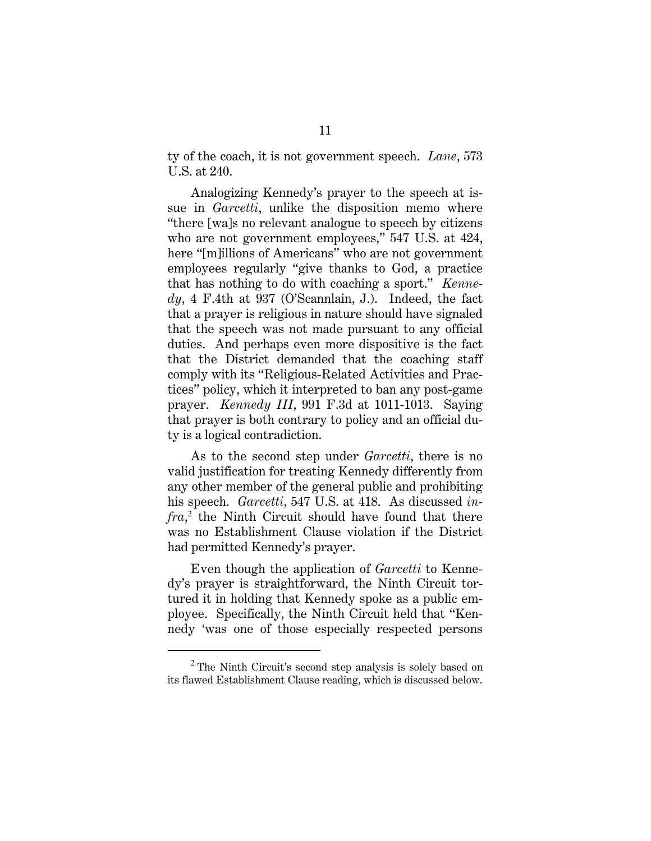ty of the coach, it is not government speech. *Lane*, 573 U.S. at 240.

Analogizing Kennedy's prayer to the speech at issue in *Garcetti*, unlike the disposition memo where "there [wa]s no relevant analogue to speech by citizens who are not government employees," 547 U.S. at 424, here "[m]illions of Americans" who are not government employees regularly "give thanks to God, a practice that has nothing to do with coaching a sport." *Kennedy*, 4 F.4th at 937 (O'Scannlain, J.). Indeed, the fact that a prayer is religious in nature should have signaled that the speech was not made pursuant to any official duties. And perhaps even more dispositive is the fact that the District demanded that the coaching staff comply with its "Religious-Related Activities and Practices" policy, which it interpreted to ban any post-game prayer. *Kennedy III*, 991 F.3d at 1011-1013. Saying that prayer is both contrary to policy and an official duty is a logical contradiction.

As to the second step under *Garcetti*, there is no valid justification for treating Kennedy differently from any other member of the general public and prohibiting his speech. *Garcetti*, 547 U.S. at 418. As discussed *infra*, 2 the Ninth Circuit should have found that there was no Establishment Clause violation if the District had permitted Kennedy's prayer.

Even though the application of *Garcetti* to Kennedy's prayer is straightforward, the Ninth Circuit tortured it in holding that Kennedy spoke as a public employee. Specifically, the Ninth Circuit held that "Kennedy 'was one of those especially respected persons

 $2$  The Ninth Circuit's second step analysis is solely based on its flawed Establishment Clause reading, which is discussed below.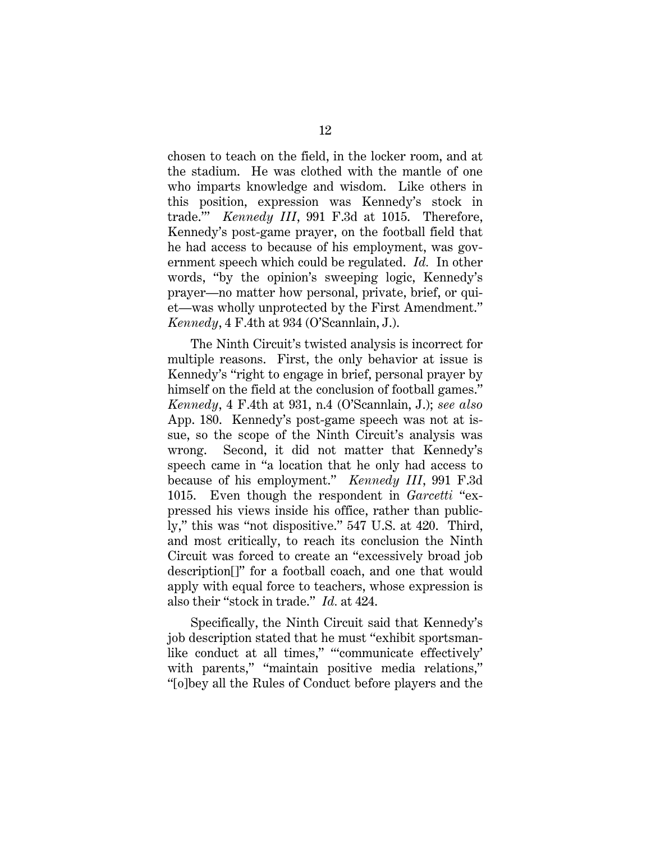chosen to teach on the field, in the locker room, and at the stadium. He was clothed with the mantle of one who imparts knowledge and wisdom. Like others in this position, expression was Kennedy's stock in trade.'" *Kennedy III*, 991 F.3d at 1015. Therefore, Kennedy's post-game prayer, on the football field that he had access to because of his employment, was government speech which could be regulated. *Id.* In other words, "by the opinion's sweeping logic, Kennedy's prayer—no matter how personal, private, brief, or quiet—was wholly unprotected by the First Amendment." *Kennedy*, 4 F.4th at 934 (O'Scannlain, J.).

The Ninth Circuit's twisted analysis is incorrect for multiple reasons. First, the only behavior at issue is Kennedy's "right to engage in brief, personal prayer by himself on the field at the conclusion of football games." *Kennedy*, 4 F.4th at 931, n.4 (O'Scannlain, J.); *see also*  App. 180. Kennedy's post-game speech was not at issue, so the scope of the Ninth Circuit's analysis was wrong. Second, it did not matter that Kennedy's speech came in "a location that he only had access to because of his employment." *Kennedy III*, 991 F.3d 1015. Even though the respondent in *Garcetti* "expressed his views inside his office, rather than publicly," this was "not dispositive." 547 U.S. at 420. Third, and most critically, to reach its conclusion the Ninth Circuit was forced to create an "excessively broad job description[]" for a football coach, and one that would apply with equal force to teachers, whose expression is also their "stock in trade." *Id.* at 424.

Specifically, the Ninth Circuit said that Kennedy's job description stated that he must "exhibit sportsmanlike conduct at all times," "'communicate effectively' with parents," "maintain positive media relations," "[o]bey all the Rules of Conduct before players and the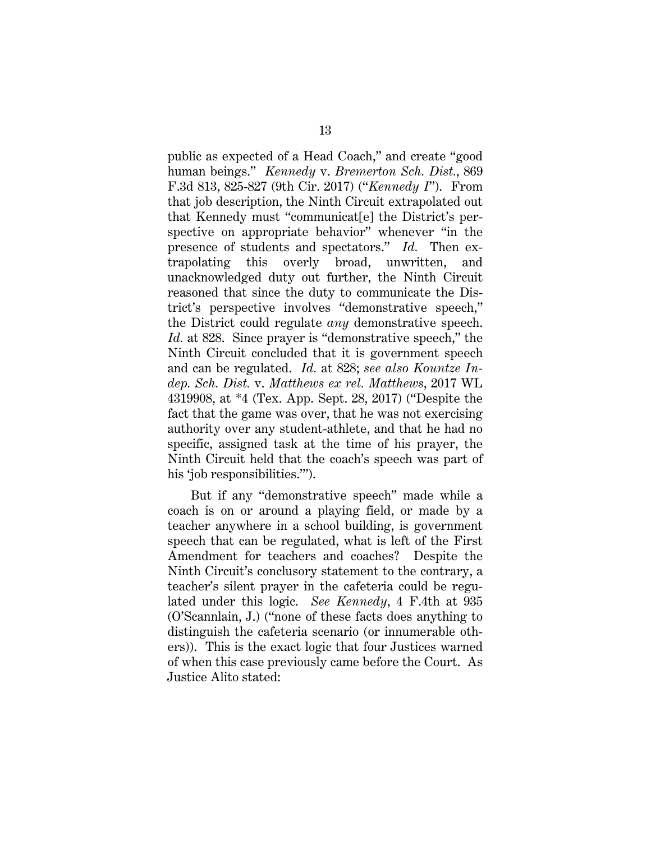public as expected of a Head Coach," and create "good human beings." *Kennedy* v. *Bremerton Sch. Dist.*, 869 F.3d 813, 825-827 (9th Cir. 2017) ("*Kennedy I*"). From that job description, the Ninth Circuit extrapolated out that Kennedy must "communicat[e] the District's perspective on appropriate behavior" whenever "in the presence of students and spectators." *Id.* Then extrapolating this overly broad, unwritten, and unacknowledged duty out further, the Ninth Circuit reasoned that since the duty to communicate the District's perspective involves "demonstrative speech," the District could regulate *any* demonstrative speech. *Id.* at 828. Since prayer is "demonstrative speech," the Ninth Circuit concluded that it is government speech and can be regulated. *Id.* at 828; *see also Kountze Indep. Sch. Dist.* v. *Matthews ex rel. Matthews*, 2017 WL 4319908, at \*4 (Tex. App. Sept. 28, 2017) ("Despite the fact that the game was over, that he was not exercising authority over any student-athlete, and that he had no specific, assigned task at the time of his prayer, the Ninth Circuit held that the coach's speech was part of his 'job responsibilities.").

But if any "demonstrative speech" made while a coach is on or around a playing field, or made by a teacher anywhere in a school building, is government speech that can be regulated, what is left of the First Amendment for teachers and coaches? Despite the Ninth Circuit's conclusory statement to the contrary, a teacher's silent prayer in the cafeteria could be regulated under this logic. *See Kennedy*, 4 F.4th at 935 (O'Scannlain, J.) ("none of these facts does anything to distinguish the cafeteria scenario (or innumerable others)). This is the exact logic that four Justices warned of when this case previously came before the Court. As Justice Alito stated: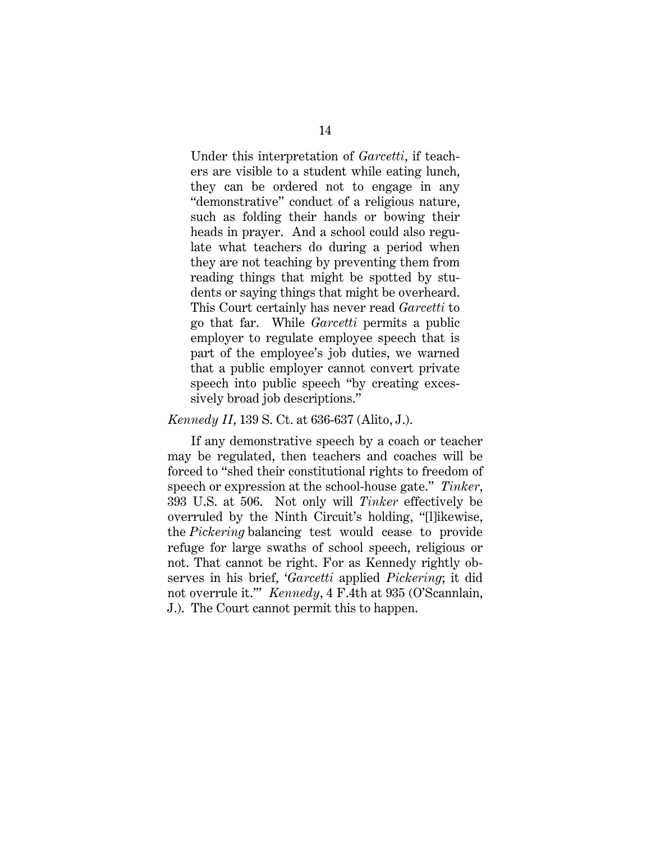Under this interpretation of *Garcetti*, if teachers are visible to a student while eating lunch, they can be ordered not to engage in any "demonstrative" conduct of a religious nature, such as folding their hands or bowing their heads in prayer. And a school could also regulate what teachers do during a period when they are not teaching by preventing them from reading things that might be spotted by students or saying things that might be overheard. This Court certainly has never read *Garcetti* to go that far. While *Garcetti* permits a public employer to regulate employee speech that is part of the employee's job duties, we warned that a public employer cannot convert private speech into public speech "by creating excessively broad job descriptions."

#### *Kennedy II*, 139 S. Ct. at 636-637 (Alito, J.).

If any demonstrative speech by a coach or teacher may be regulated, then teachers and coaches will be forced to "shed their constitutional rights to freedom of speech or expression at the school-house gate." *Tinker*, 393 U.S. at 506. Not only will *Tinker* effectively be overruled by the Ninth Circuit's holding, "[l]ikewise, the *Pickering* balancing test would cease to provide refuge for large swaths of school speech, religious or not. That cannot be right. For as Kennedy rightly observes in his brief, '*Garcetti* applied *Pickering*; it did not overrule it.'" *Kennedy*, 4 F.4th at 935 (O'Scannlain, J.). The Court cannot permit this to happen.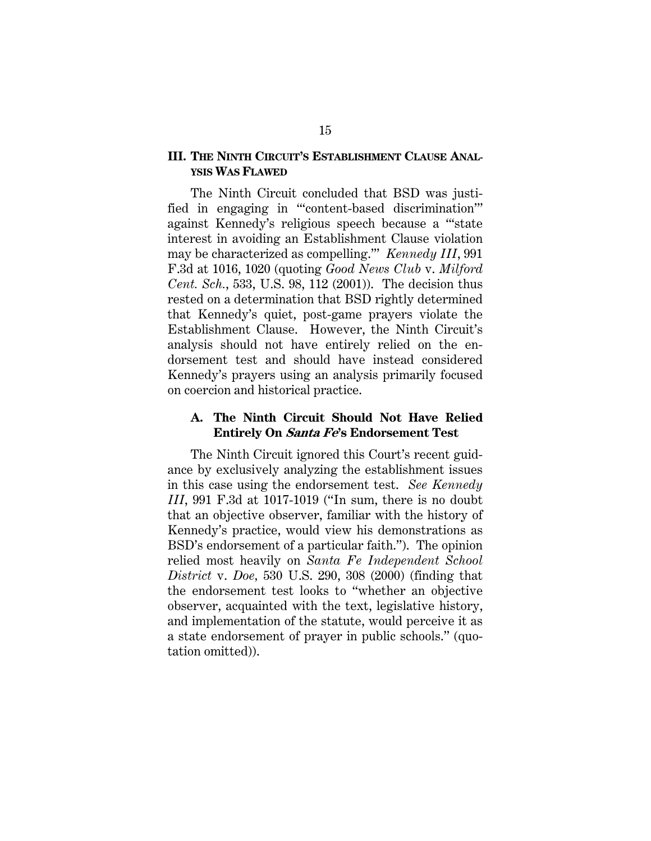### **III. THE NINTH CIRCUIT'S ESTABLISHMENT CLAUSE ANAL-YSIS WAS FLAWED**

The Ninth Circuit concluded that BSD was justified in engaging in "'content-based discrimination'" against Kennedy's religious speech because a "'state interest in avoiding an Establishment Clause violation may be characterized as compelling.'" *Kennedy III*, 991 F.3d at 1016, 1020 (quoting *Good News Club* v. *Milford Cent. Sch.*, 533, U.S. 98, 112 (2001)). The decision thus rested on a determination that BSD rightly determined that Kennedy's quiet, post-game prayers violate the Establishment Clause. However, the Ninth Circuit's analysis should not have entirely relied on the endorsement test and should have instead considered Kennedy's prayers using an analysis primarily focused on coercion and historical practice.

#### **A. The Ninth Circuit Should Not Have Relied Entirely On Santa Fe's Endorsement Test**

The Ninth Circuit ignored this Court's recent guidance by exclusively analyzing the establishment issues in this case using the endorsement test. *See Kennedy III*, 991 F.3d at 1017-1019 ("In sum, there is no doubt that an objective observer, familiar with the history of Kennedy's practice, would view his demonstrations as BSD's endorsement of a particular faith."). The opinion relied most heavily on *Santa Fe Independent School District* v. *Doe,* 530 U.S. 290, 308 (2000) (finding that the endorsement test looks to "whether an objective observer, acquainted with the text, legislative history, and implementation of the statute, would perceive it as a state endorsement of prayer in public schools." (quotation omitted)).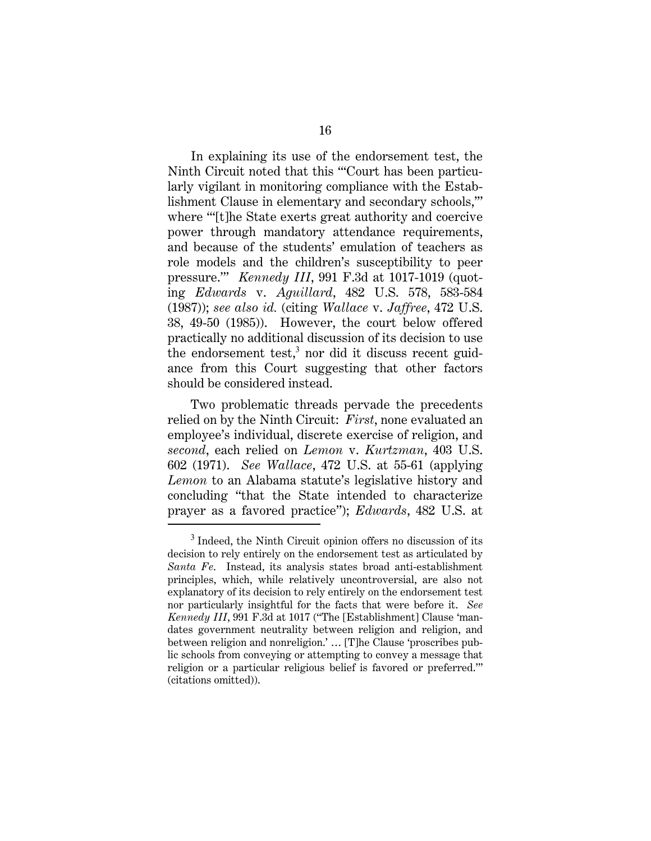In explaining its use of the endorsement test, the Ninth Circuit noted that this "'Court has been particularly vigilant in monitoring compliance with the Establishment Clause in elementary and secondary schools,'" where "'[t]he State exerts great authority and coercive power through mandatory attendance requirements, and because of the students' emulation of teachers as role models and the children's susceptibility to peer pressure.'" *Kennedy III*, 991 F.3d at 1017-1019 (quoting *Edwards* v. *Aguillard*, 482 U.S. 578, 583-584 (1987)); *see also id.* (citing *Wallace* v. *Jaffree*, 472 U.S. 38, 49-50 (1985)). However, the court below offered practically no additional discussion of its decision to use the endorsement test,<sup>3</sup> nor did it discuss recent guidance from this Court suggesting that other factors should be considered instead.

Two problematic threads pervade the precedents relied on by the Ninth Circuit: *First*, none evaluated an employee's individual, discrete exercise of religion, and *second*, each relied on *Lemon* v. *Kurtzman*, 403 U.S. 602 (1971). *See Wallace*, 472 U.S. at 55-61 (applying *Lemon* to an Alabama statute's legislative history and concluding "that the State intended to characterize prayer as a favored practice"); *Edwards*, 482 U.S. at

 $3$  Indeed, the Ninth Circuit opinion offers no discussion of its decision to rely entirely on the endorsement test as articulated by *Santa Fe*. Instead, its analysis states broad anti-establishment principles, which, while relatively uncontroversial, are also not explanatory of its decision to rely entirely on the endorsement test nor particularly insightful for the facts that were before it. *See Kennedy III*, 991 F.3d at 1017 ("The [Establishment] Clause 'mandates government neutrality between religion and religion, and between religion and nonreligion.' … [T]he Clause 'proscribes public schools from conveying or attempting to convey a message that religion or a particular religious belief is favored or preferred.'" (citations omitted)).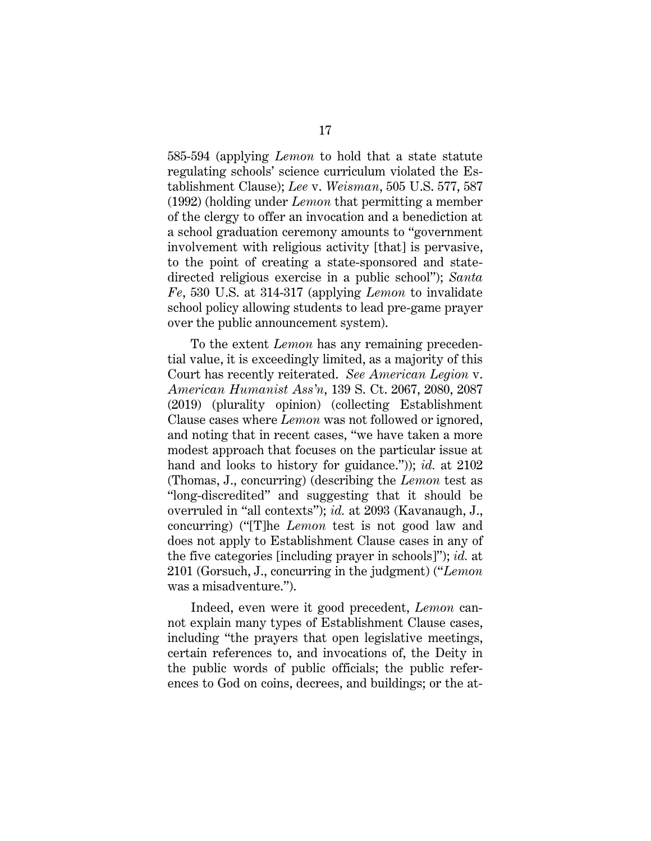585-594 (applying *Lemon* to hold that a state statute regulating schools' science curriculum violated the Establishment Clause); *Lee* v. *Weisman*, 505 U.S. 577, 587 (1992) (holding under *Lemon* that permitting a member of the clergy to offer an invocation and a benediction at a school graduation ceremony amounts to "government involvement with religious activity [that] is pervasive, to the point of creating a state-sponsored and statedirected religious exercise in a public school"); *Santa Fe*, 530 U.S. at 314-317 (applying *Lemon* to invalidate school policy allowing students to lead pre-game prayer over the public announcement system).

To the extent *Lemon* has any remaining precedential value, it is exceedingly limited, as a majority of this Court has recently reiterated. *See American Legion* v. *American Humanist Ass'n*, 139 S. Ct. 2067, 2080, 2087 (2019) (plurality opinion) (collecting Establishment Clause cases where *Lemon* was not followed or ignored, and noting that in recent cases, "we have taken a more modest approach that focuses on the particular issue at hand and looks to history for guidance.")); *id.* at 2102 (Thomas, J., concurring) (describing the *Lemon* test as "long-discredited" and suggesting that it should be overruled in "all contexts"); *id.* at 2093 (Kavanaugh, J., concurring) ("[T]he *Lemon* test is not good law and does not apply to Establishment Clause cases in any of the five categories [including prayer in schools]"); *id.* at 2101 (Gorsuch, J., concurring in the judgment) ("*Lemon* was a misadventure.").

Indeed, even were it good precedent, *Lemon* cannot explain many types of Establishment Clause cases, including "the prayers that open legislative meetings, certain references to, and invocations of, the Deity in the public words of public officials; the public references to God on coins, decrees, and buildings; or the at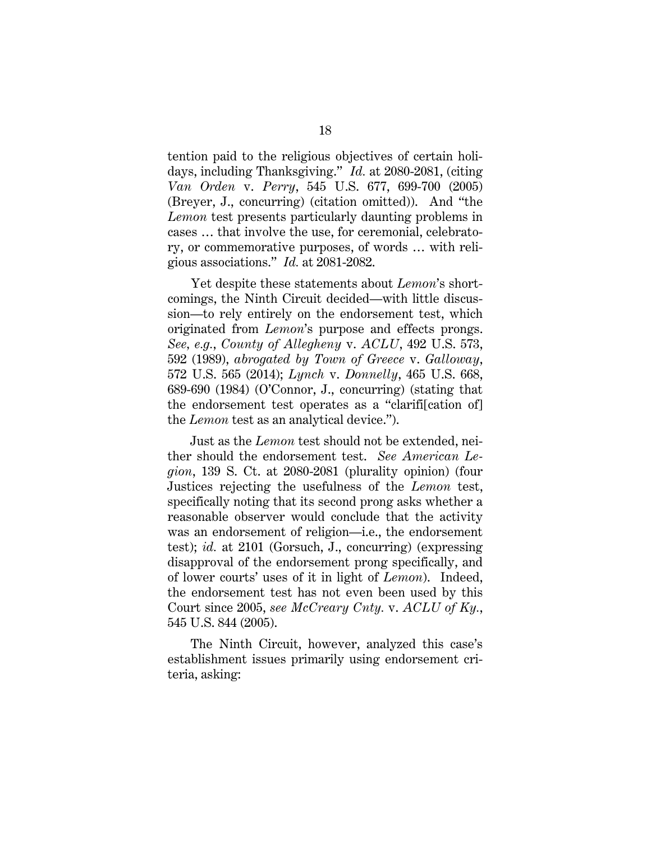tention paid to the religious objectives of certain holidays, including Thanksgiving." *Id.* at 2080-2081, (citing *Van Orden* v. *Perry*, 545 U.S. 677, 699-700 (2005) (Breyer, J., concurring) (citation omitted)). And "the *Lemon* test presents particularly daunting problems in cases … that involve the use, for ceremonial, celebratory, or commemorative purposes, of words … with religious associations." *Id.* at 2081-2082.

Yet despite these statements about *Lemon*'s shortcomings, the Ninth Circuit decided—with little discussion—to rely entirely on the endorsement test, which originated from *Lemon*'s purpose and effects prongs. *See, e.g.*, *County of Allegheny* v. *ACLU*, 492 U.S. 573, 592 (1989), *abrogated by Town of Greece* v. *Galloway*, 572 U.S. 565 (2014); *Lynch* v. *Donnelly*, 465 U.S. 668, 689-690 (1984) (O'Connor, J., concurring) (stating that the endorsement test operates as a "clarifi[cation of] the *Lemon* test as an analytical device.").

Just as the *Lemon* test should not be extended, neither should the endorsement test. *See American Legion*, 139 S. Ct. at 2080-2081 (plurality opinion) (four Justices rejecting the usefulness of the *Lemon* test, specifically noting that its second prong asks whether a reasonable observer would conclude that the activity was an endorsement of religion—i.e., the endorsement test); *id.* at 2101 (Gorsuch, J., concurring) (expressing disapproval of the endorsement prong specifically, and of lower courts' uses of it in light of *Lemon*). Indeed, the endorsement test has not even been used by this Court since 2005, *see McCreary Cnty.* v. *ACLU of Ky.*, 545 U.S. 844 (2005).

The Ninth Circuit, however, analyzed this case's establishment issues primarily using endorsement criteria, asking: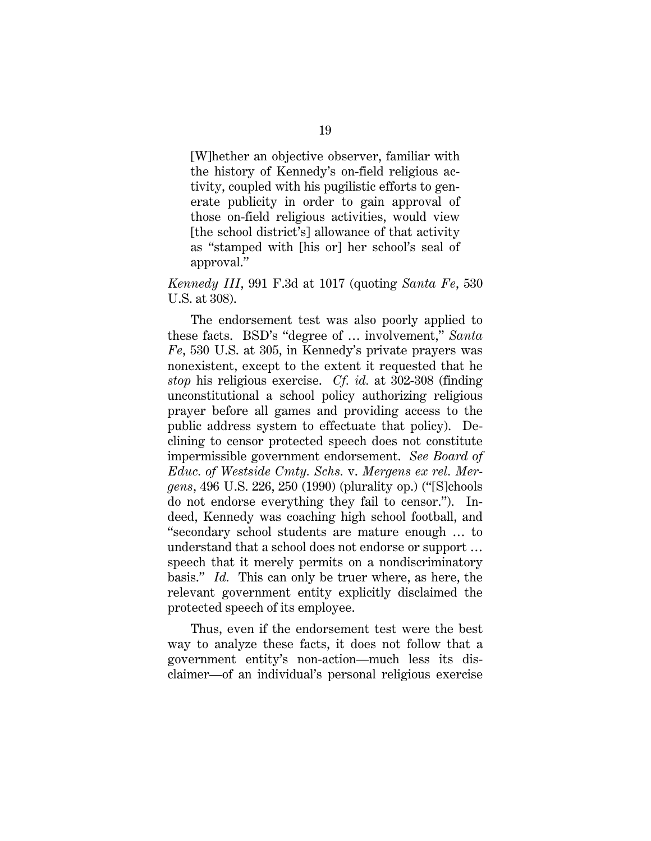[W]hether an objective observer, familiar with the history of Kennedy's on-field religious activity, coupled with his pugilistic efforts to generate publicity in order to gain approval of those on-field religious activities, would view [the school district's] allowance of that activity as "stamped with [his or] her school's seal of approval."

### *Kennedy III*, 991 F.3d at 1017 (quoting *Santa Fe*, 530 U.S. at 308).

The endorsement test was also poorly applied to these facts. BSD's "degree of … involvement," *Santa Fe*, 530 U.S. at 305, in Kennedy's private prayers was nonexistent, except to the extent it requested that he *stop* his religious exercise. *Cf. id.* at 302-308 (finding unconstitutional a school policy authorizing religious prayer before all games and providing access to the public address system to effectuate that policy). Declining to censor protected speech does not constitute impermissible government endorsement. *See Board of Educ. of Westside Cmty. Schs.* v. *Mergens ex rel. Mergens*, 496 U.S. 226, 250 (1990) (plurality op.) ("[S]chools do not endorse everything they fail to censor."). Indeed, Kennedy was coaching high school football, and "secondary school students are mature enough … to understand that a school does not endorse or support … speech that it merely permits on a nondiscriminatory basis." *Id.* This can only be truer where, as here, the relevant government entity explicitly disclaimed the protected speech of its employee.

Thus, even if the endorsement test were the best way to analyze these facts, it does not follow that a government entity's non-action—much less its disclaimer—of an individual's personal religious exercise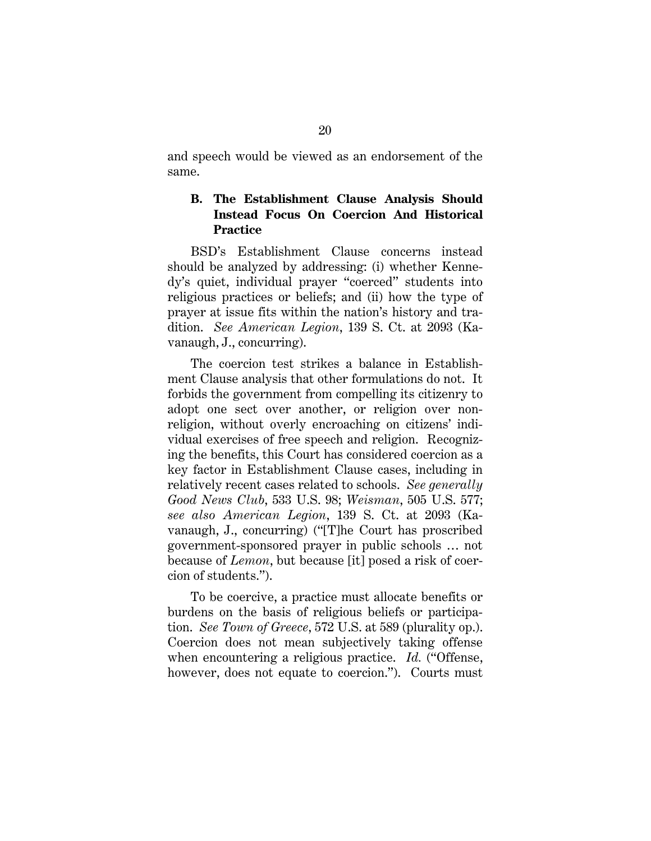and speech would be viewed as an endorsement of the same.

## **B. The Establishment Clause Analysis Should Instead Focus On Coercion And Historical Practice**

BSD's Establishment Clause concerns instead should be analyzed by addressing: (i) whether Kennedy's quiet, individual prayer "coerced" students into religious practices or beliefs; and (ii) how the type of prayer at issue fits within the nation's history and tradition. *See American Legion*, 139 S. Ct. at 2093 (Kavanaugh, J., concurring).

The coercion test strikes a balance in Establishment Clause analysis that other formulations do not. It forbids the government from compelling its citizenry to adopt one sect over another, or religion over nonreligion, without overly encroaching on citizens' individual exercises of free speech and religion. Recognizing the benefits, this Court has considered coercion as a key factor in Establishment Clause cases, including in relatively recent cases related to schools. *See generally Good News Club*, 533 U.S. 98; *Weisman*, 505 U.S. 577; *see also American Legion*, 139 S. Ct. at 2093 (Kavanaugh, J., concurring) ("[T]he Court has proscribed government-sponsored prayer in public schools … not because of *Lemon*, but because [it] posed a risk of coercion of students.").

To be coercive, a practice must allocate benefits or burdens on the basis of religious beliefs or participation. *See Town of Greece*, 572 U.S. at 589 (plurality op.). Coercion does not mean subjectively taking offense when encountering a religious practice. *Id.* ("Offense, however, does not equate to coercion."). Courts must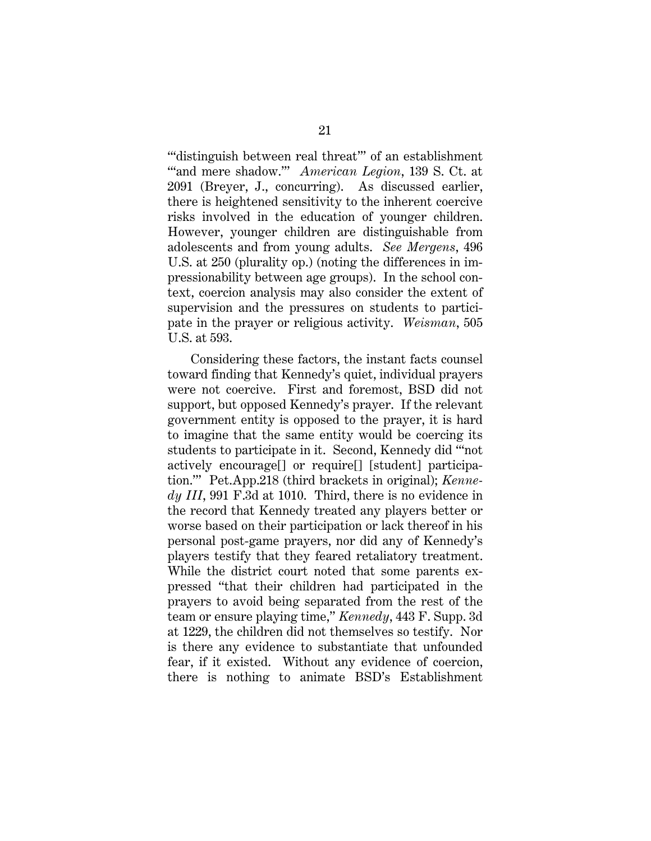""distinguish between real threat"" of an establishment "'and mere shadow.'" *American Legion*, 139 S. Ct. at 2091 (Breyer, J., concurring). As discussed earlier, there is heightened sensitivity to the inherent coercive risks involved in the education of younger children. However, younger children are distinguishable from adolescents and from young adults. *See Mergens*, 496 U.S. at 250 (plurality op.) (noting the differences in impressionability between age groups). In the school context, coercion analysis may also consider the extent of supervision and the pressures on students to participate in the prayer or religious activity. *Weisman*, 505 U.S. at 593.

Considering these factors, the instant facts counsel toward finding that Kennedy's quiet, individual prayers were not coercive. First and foremost, BSD did not support, but opposed Kennedy's prayer. If the relevant government entity is opposed to the prayer, it is hard to imagine that the same entity would be coercing its students to participate in it. Second, Kennedy did "'not actively encourage[] or require[] [student] participation.'" Pet.App.218 (third brackets in original); *Kennedy III*, 991 F.3d at 1010. Third, there is no evidence in the record that Kennedy treated any players better or worse based on their participation or lack thereof in his personal post-game prayers, nor did any of Kennedy's players testify that they feared retaliatory treatment. While the district court noted that some parents expressed "that their children had participated in the prayers to avoid being separated from the rest of the team or ensure playing time," *Kennedy*, 443 F. Supp. 3d at 1229, the children did not themselves so testify. Nor is there any evidence to substantiate that unfounded fear, if it existed. Without any evidence of coercion, there is nothing to animate BSD's Establishment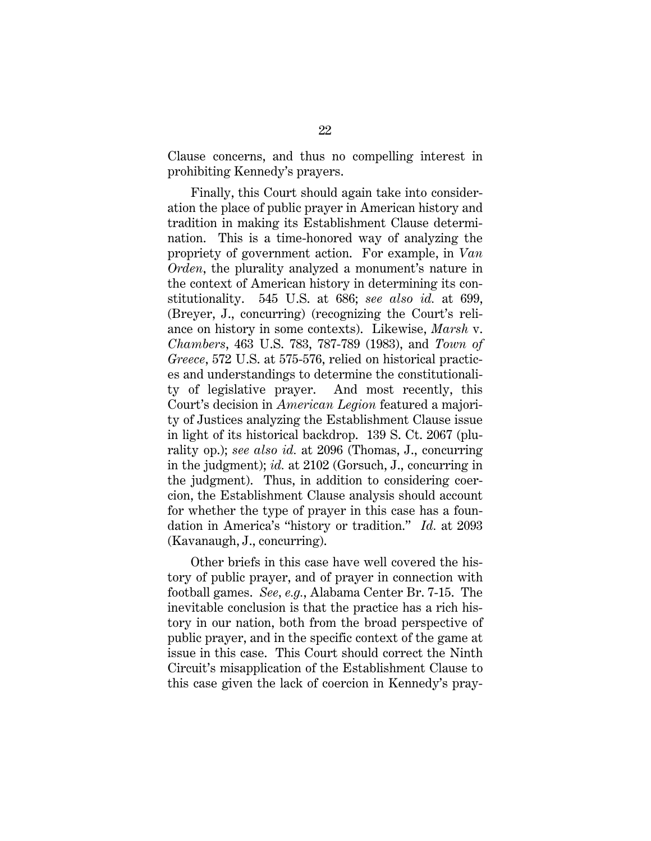Clause concerns, and thus no compelling interest in prohibiting Kennedy's prayers.

Finally, this Court should again take into consideration the place of public prayer in American history and tradition in making its Establishment Clause determination. This is a time-honored way of analyzing the propriety of government action. For example, in *Van Orden*, the plurality analyzed a monument's nature in the context of American history in determining its constitutionality. 545 U.S. at 686; *see also id.* at 699, (Breyer, J., concurring) (recognizing the Court's reliance on history in some contexts). Likewise, *Marsh* v. *Chambers*, 463 U.S. 783, 787-789 (1983), and *Town of Greece*, 572 U.S. at 575-576, relied on historical practices and understandings to determine the constitutionality of legislative prayer. And most recently, this Court's decision in *American Legion* featured a majority of Justices analyzing the Establishment Clause issue in light of its historical backdrop. 139 S. Ct. 2067 (plurality op.); *see also id.* at 2096 (Thomas, J., concurring in the judgment); *id.* at 2102 (Gorsuch, J., concurring in the judgment). Thus, in addition to considering coercion, the Establishment Clause analysis should account for whether the type of prayer in this case has a foundation in America's "history or tradition." *Id.* at 2093 (Kavanaugh, J., concurring).

Other briefs in this case have well covered the history of public prayer, and of prayer in connection with football games. *See, e.g.*, Alabama Center Br. 7-15. The inevitable conclusion is that the practice has a rich history in our nation, both from the broad perspective of public prayer, and in the specific context of the game at issue in this case. This Court should correct the Ninth Circuit's misapplication of the Establishment Clause to this case given the lack of coercion in Kennedy's pray